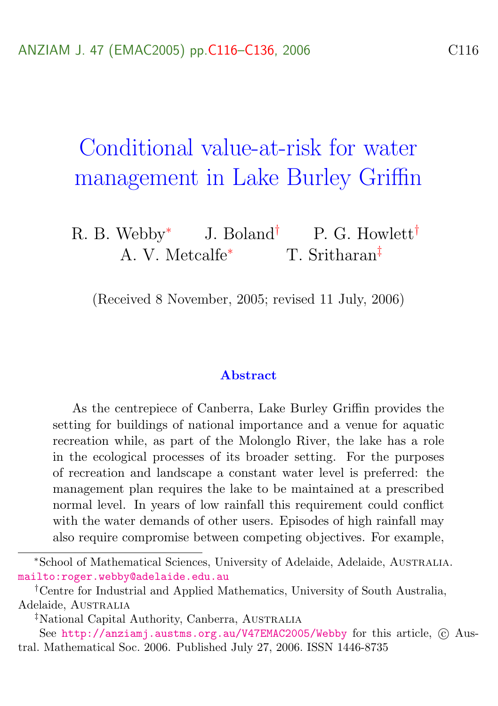# <span id="page-0-0"></span>Conditional value-at-risk for water management in Lake Burley Griffin

R. B. Webby<sup>∗</sup> J. Boland<sup>†</sup> P. G. Howlett<sup>†</sup> A. V. Metcalfe<sup>∗</sup> T. Sritharan‡

(Received 8 November, 2005; revised 11 July, 2006)

#### Abstract

As the centrepiece of Canberra, Lake Burley Griffin provides the setting for buildings of national importance and a venue for aquatic recreation while, as part of the Molonglo River, the lake has a role in the ecological processes of its broader setting. For the purposes of recreation and landscape a constant water level is preferred: the management plan requires the lake to be maintained at a prescribed normal level. In years of low rainfall this requirement could conflict with the water demands of other users. Episodes of high rainfall may also require compromise between competing objectives. For example,

<sup>∗</sup>School of Mathematical Sciences, University of Adelaide, Adelaide, Australia. <mailto:roger.webby@adelaide.edu.au>

<sup>†</sup>Centre for Industrial and Applied Mathematics, University of South Australia, Adelaide, AUSTRALIA

<sup>&</sup>lt;sup>‡</sup>National Capital Authority, Canberra, AUSTRALIA

See <http://anziamj.austms.org.au/V47EMAC2005/Webby> for this article,  $\odot$  Austral. Mathematical Soc. 2006. Published July 27, 2006. ISSN 1446-8735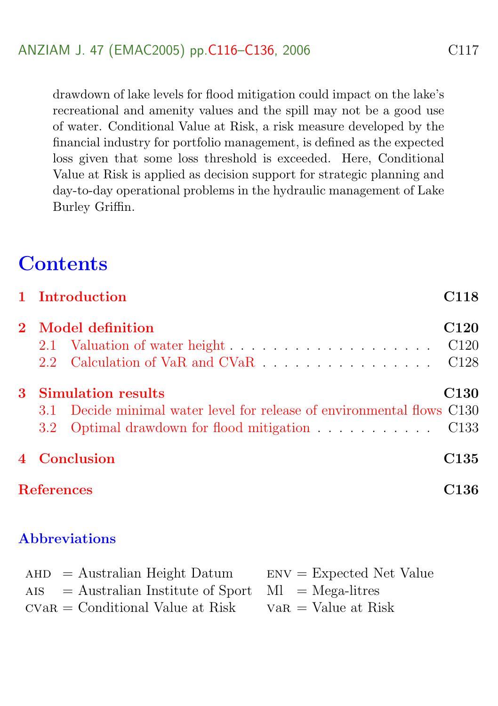drawdown of lake levels for flood mitigation could impact on the lake's recreational and amenity values and the spill may not be a good use of water. Conditional Value at Risk, a risk measure developed by the financial industry for portfolio management, is defined as the expected loss given that some loss threshold is exceeded. Here, Conditional Value at Risk is applied as decision support for strategic planning and day-to-day operational problems in the hydraulic management of Lake Burley Griffin.

## **Contents**

|   |                           | 1 Introduction                                                         | C118             |
|---|---------------------------|------------------------------------------------------------------------|------------------|
|   | 2 Model definition        |                                                                        | C <sub>120</sub> |
|   |                           |                                                                        |                  |
|   |                           |                                                                        |                  |
| 3 | <b>Simulation results</b> |                                                                        | C <sub>130</sub> |
|   |                           | 3.1 Decide minimal water level for release of environmental flows C130 |                  |
|   |                           | 3.2 Optimal drawdown for flood mitigation C133                         |                  |
|   | 4 Conclusion              |                                                                        | C135             |
|   |                           | <b>References</b>                                                      | C136             |

#### Abbreviations

<span id="page-1-0"></span>

| $AHD = Australian Height Datum$                               | $ENV = Expected Net Value$ |
|---------------------------------------------------------------|----------------------------|
| $\text{AIS}$ = Australian Institute of Sport Ml = Mega-litres |                            |
| $CVaR = Conditional Value at Risk$                            | $VaR = Value$ at Risk      |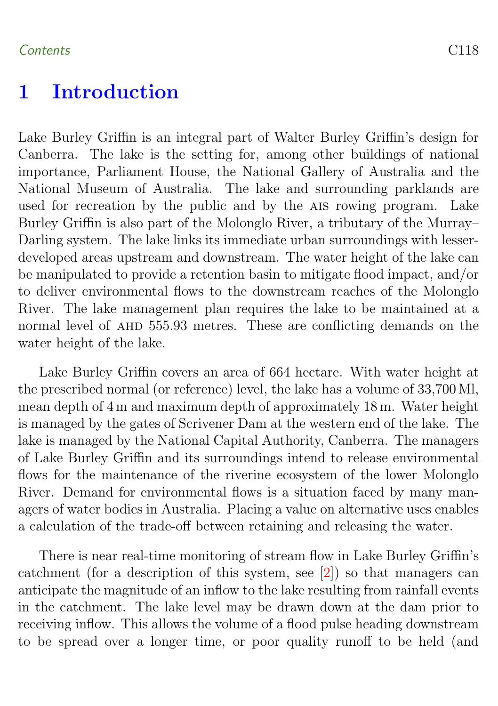#### <span id="page-2-0"></span>Contents C118

## 1 Introduction

Lake Burley Griffin is an integral part of Walter Burley Griffin's design for Canberra. The lake is the setting for, among other buildings of national importance, Parliament House, the National Gallery of Australia and the National Museum of Australia. The lake and surrounding parklands are used for recreation by the public and by the AIS rowing program. Lake Burley Griffin is also part of the Molonglo River, a tributary of the Murray– Darling system. The lake links its immediate urban surroundings with lesserdeveloped areas upstream and downstream. The water height of the lake can be manipulated to provide a retention basin to mitigate flood impact, and/or to deliver environmental flows to the downstream reaches of the Molonglo River. The lake management plan requires the lake to be maintained at a normal level of AHD 555.93 metres. These are conflicting demands on the water height of the lake.

Lake Burley Griffin covers an area of 664 hectare. With water height at the prescribed normal (or reference) level, the lake has a volume of 33,700 Ml, mean depth of 4 m and maximum depth of approximately 18 m. Water height is managed by the gates of Scrivener Dam at the western end of the lake. The lake is managed by the National Capital Authority, Canberra. The managers of Lake Burley Griffin and its surroundings intend to release environmental flows for the maintenance of the riverine ecosystem of the lower Molonglo River. Demand for environmental flows is a situation faced by many managers of water bodies in Australia. Placing a value on alternative uses enables a calculation of the trade-off between retaining and releasing the water.

There is near real-time monitoring of stream flow in Lake Burley Griffin's catchment (for a description of this system, see [\[2\]](#page-20-1)) so that managers can anticipate the magnitude of an inflow to the lake resulting from rainfall events in the catchment. The lake level may be drawn down at the dam prior to receiving inflow. This allows the volume of a flood pulse heading downstream to be spread over a longer time, or poor quality runoff to be held (and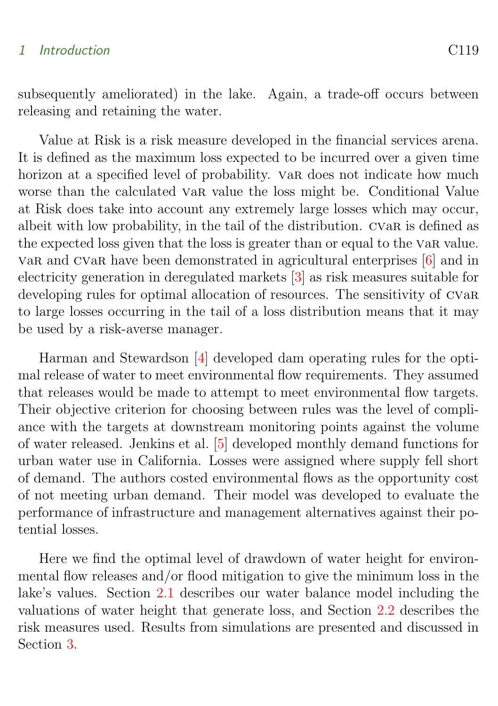#### <span id="page-3-0"></span>1 Introduction C119

subsequently ameliorated) in the lake. Again, a trade-off occurs between releasing and retaining the water.

Value at Risk is a risk measure developed in the financial services arena. It is defined as the maximum loss expected to be incurred over a given time horizon at a specified level of probability. Var does not indicate how much worse than the calculated var value the loss might be. Conditional Value at Risk does take into account any extremely large losses which may occur, albeit with low probability, in the tail of the distribution. cvar is defined as the expected loss given that the loss is greater than or equal to the var value. var and cvar have been demonstrated in agricultural enterprises [\[6\]](#page-20-2) and in electricity generation in deregulated markets [\[3\]](#page-20-3) as risk measures suitable for developing rules for optimal allocation of resources. The sensitivity of CVaR to large losses occurring in the tail of a loss distribution means that it may be used by a risk-averse manager.

Harman and Stewardson [\[4\]](#page-20-4) developed dam operating rules for the optimal release of water to meet environmental flow requirements. They assumed that releases would be made to attempt to meet environmental flow targets. Their objective criterion for choosing between rules was the level of compliance with the targets at downstream monitoring points against the volume of water released. Jenkins et al. [\[5\]](#page-20-5) developed monthly demand functions for urban water use in California. Losses were assigned where supply fell short of demand. The authors costed environmental flows as the opportunity cost of not meeting urban demand. Their model was developed to evaluate the performance of infrastructure and management alternatives against their potential losses.

Here we find the optimal level of drawdown of water height for environmental flow releases and/or flood mitigation to give the minimum loss in the lake's values. Section [2.1](#page-4-1) describes our water balance model including the valuations of water height that generate loss, and Section [2.2](#page-11-0) describes the risk measures used. Results from simulations are presented and discussed in Section [3.](#page-14-0)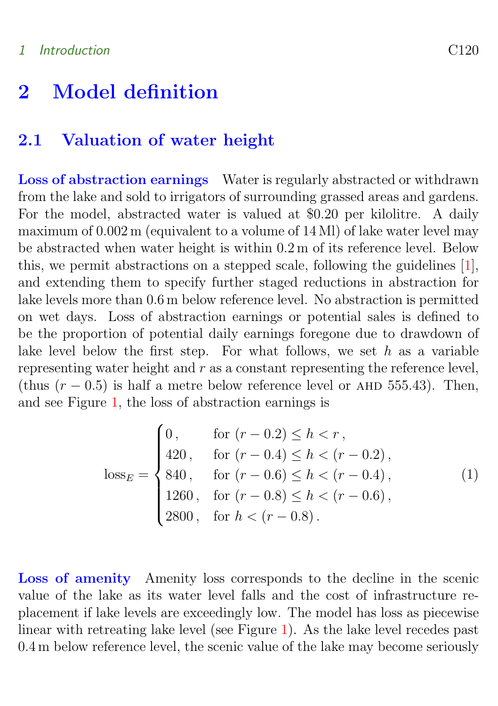### <span id="page-4-3"></span><span id="page-4-1"></span><span id="page-4-0"></span>2.1 Valuation of water height

Loss of abstraction earnings Water is regularly abstracted or withdrawn from the lake and sold to irrigators of surrounding grassed areas and gardens. For the model, abstracted water is valued at \$0.20 per kilolitre. A daily maximum of  $0.002$  m (equivalent to a volume of 14 Ml) of lake water level may be abstracted when water height is within 0.2 m of its reference level. Below this, we permit abstractions on a stepped scale, following the guidelines [\[1\]](#page-20-6), and extending them to specify further staged reductions in abstraction for lake levels more than 0.6 m below reference level. No abstraction is permitted on wet days. Loss of abstraction earnings or potential sales is defined to be the proportion of potential daily earnings foregone due to drawdown of lake level below the first step. For what follows, we set  $h$  as a variable representing water height and  $r$  as a constant representing the reference level, (thus  $(r - 0.5)$ ) is half a metre below reference level or AHD 555.43). Then, and see Figure [1,](#page-5-0) the loss of abstraction earnings is

<span id="page-4-2"></span>
$$
\text{loss}_E = \begin{cases} 0, & \text{for } (r - 0.2) \le h < r, \\ 420, & \text{for } (r - 0.4) \le h < (r - 0.2), \\ 840, & \text{for } (r - 0.6) \le h < (r - 0.4), \\ 1260, & \text{for } (r - 0.8) \le h < (r - 0.6), \\ 2800, & \text{for } h < (r - 0.8). \end{cases} \tag{1}
$$

Loss of amenity Amenity loss corresponds to the decline in the scenic value of the lake as its water level falls and the cost of infrastructure replacement if lake levels are exceedingly low. The model has loss as piecewise linear with retreating lake level (see Figure [1\)](#page-5-0). As the lake level recedes past 0.4 m below reference level, the scenic value of the lake may become seriously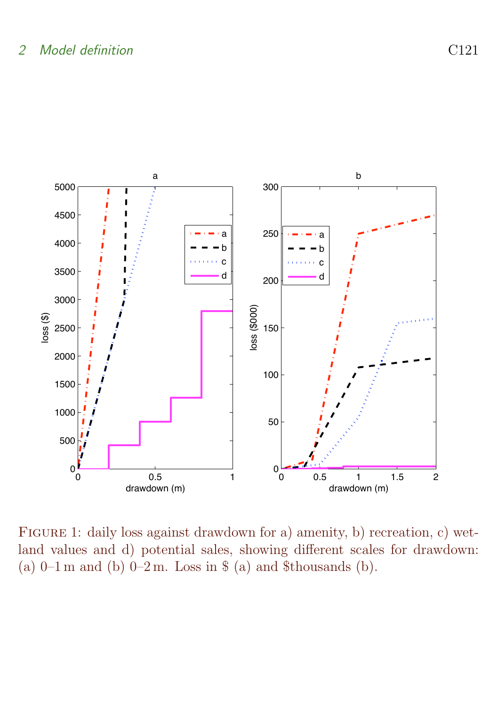

<span id="page-5-0"></span>FIGURE 1: daily loss against drawdown for a) amenity, b) recreation, c) wetland values and d) potential sales, showing different scales for drawdown: (a)  $0-1$  m and (b)  $0-2$  m. Loss in \$ (a) and \$thousands (b).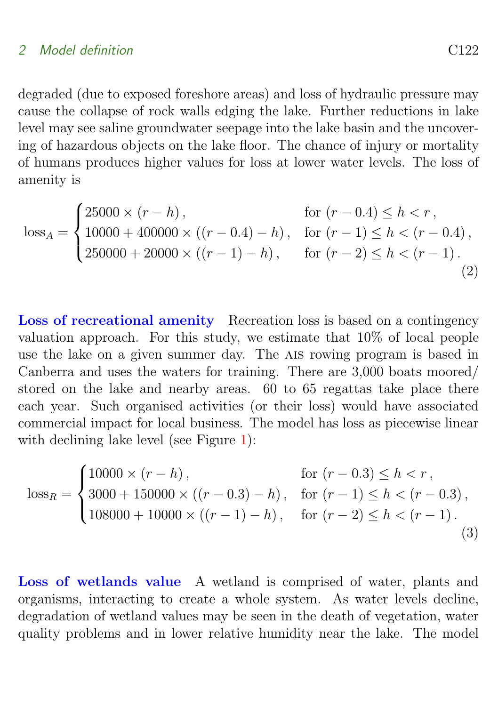degraded (due to exposed foreshore areas) and loss of hydraulic pressure may cause the collapse of rock walls edging the lake. Further reductions in lake level may see saline groundwater seepage into the lake basin and the uncovering of hazardous objects on the lake floor. The chance of injury or mortality of humans produces higher values for loss at lower water levels. The loss of amenity is

$$
\text{loss}_{A} = \begin{cases} 25000 \times (r - h), & \text{for } (r - 0.4) \le h < r, \\ 10000 + 400000 \times ((r - 0.4) - h), & \text{for } (r - 1) \le h < (r - 0.4), \\ 250000 + 20000 \times ((r - 1) - h), & \text{for } (r - 2) \le h < (r - 1). \end{cases} \tag{2}
$$

Loss of recreational amenity Recreation loss is based on a contingency valuation approach. For this study, we estimate that 10% of local people use the lake on a given summer day. The AIS rowing program is based in Canberra and uses the waters for training. There are 3,000 boats moored/ stored on the lake and nearby areas. 60 to 65 regattas take place there each year. Such organised activities (or their loss) would have associated commercial impact for local business. The model has loss as piecewise linear with declining lake level (see Figure [1\)](#page-5-0):

$$
\text{loss}_{R} = \begin{cases} 10000 \times (r - h), & \text{for } (r - 0.3) \le h < r, \\ 3000 + 150000 \times ((r - 0.3) - h), & \text{for } (r - 1) \le h < (r - 0.3), \\ 108000 + 10000 \times ((r - 1) - h), & \text{for } (r - 2) \le h < (r - 1). \end{cases} \tag{3}
$$

Loss of wetlands value A wetland is comprised of water, plants and organisms, interacting to create a whole system. As water levels decline, degradation of wetland values may be seen in the death of vegetation, water quality problems and in lower relative humidity near the lake. The model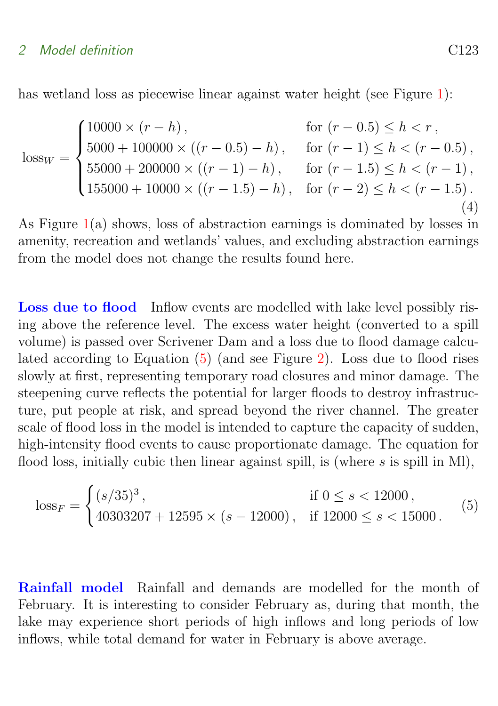#### 2 Model definition C<sub>123</sub>

has wetland loss as piecewise linear against water height (see Figure [1\)](#page-5-0):

$$
\text{loss}_W = \begin{cases} 10000 \times (r - h), & \text{for } (r - 0.5) \le h < r, \\ 5000 + 100000 \times ((r - 0.5) - h), & \text{for } (r - 1) \le h < (r - 0.5), \\ 55000 + 200000 \times ((r - 1) - h), & \text{for } (r - 1.5) \le h < (r - 1), \\ 155000 + 10000 \times ((r - 1.5) - h), & \text{for } (r - 2) \le h < (r - 1.5). \end{cases} \tag{4}
$$

As Figure [1\(](#page-5-0)a) shows, loss of abstraction earnings is dominated by losses in amenity, recreation and wetlands' values, and excluding abstraction earnings from the model does not change the results found here.

Loss due to flood Inflow events are modelled with lake level possibly rising above the reference level. The excess water height (converted to a spill volume) is passed over Scrivener Dam and a loss due to flood damage calculated according to Equation [\(5\)](#page-7-0) (and see Figure [2\)](#page-8-0). Loss due to flood rises slowly at first, representing temporary road closures and minor damage. The steepening curve reflects the potential for larger floods to destroy infrastructure, put people at risk, and spread beyond the river channel. The greater scale of flood loss in the model is intended to capture the capacity of sudden, high-intensity flood events to cause proportionate damage. The equation for flood loss, initially cubic then linear against spill, is (where  $s$  is spill in Ml),

<span id="page-7-0"></span>
$$
\text{loss}_{F} = \begin{cases} (s/35)^3, & \text{if } 0 \le s < 12000, \\ 40303207 + 12595 \times (s - 12000), & \text{if } 12000 \le s < 15000. \end{cases} \tag{5}
$$

Rainfall model Rainfall and demands are modelled for the month of February. It is interesting to consider February as, during that month, the lake may experience short periods of high inflows and long periods of low inflows, while total demand for water in February is above average.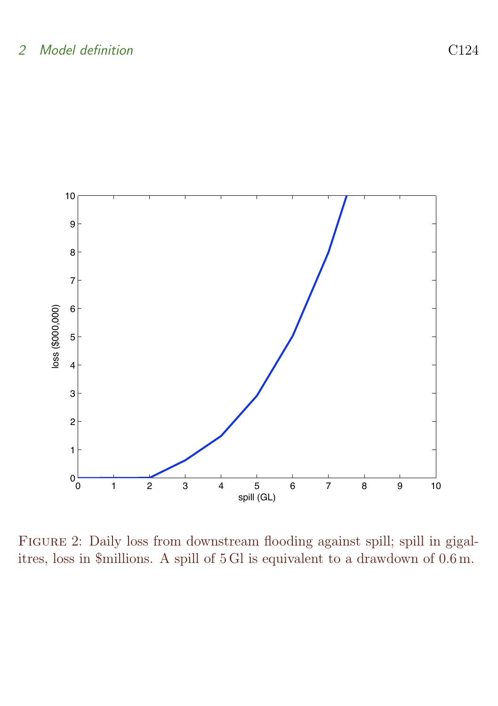

<span id="page-8-0"></span>Figure 2: Daily loss from downstream flooding against spill; spill in gigalitres, loss in \$millions. A spill of 5 Gl is equivalent to a drawdown of 0.6 m.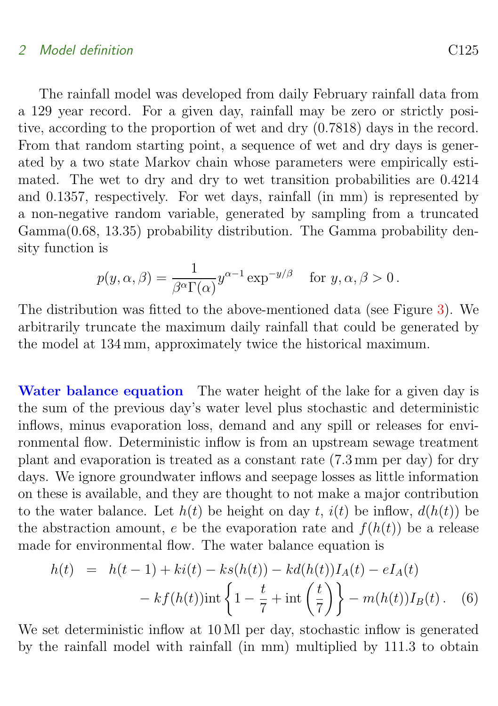The rainfall model was developed from daily February rainfall data from a 129 year record. For a given day, rainfall may be zero or strictly positive, according to the proportion of wet and dry (0.7818) days in the record. From that random starting point, a sequence of wet and dry days is generated by a two state Markov chain whose parameters were empirically estimated. The wet to dry and dry to wet transition probabilities are 0.4214 and 0.1357, respectively. For wet days, rainfall (in mm) is represented by a non-negative random variable, generated by sampling from a truncated Gamma(0.68, 13.35) probability distribution. The Gamma probability density function is

$$
p(y, \alpha, \beta) = \frac{1}{\beta^{\alpha} \Gamma(\alpha)} y^{\alpha - 1} \exp^{-y/\beta} \quad \text{for } y, \alpha, \beta > 0.
$$

The distribution was fitted to the above-mentioned data (see Figure [3\)](#page-10-0). We arbitrarily truncate the maximum daily rainfall that could be generated by the model at 134 mm, approximately twice the historical maximum.

Water balance equation The water height of the lake for a given day is the sum of the previous day's water level plus stochastic and deterministic inflows, minus evaporation loss, demand and any spill or releases for environmental flow. Deterministic inflow is from an upstream sewage treatment plant and evaporation is treated as a constant rate (7.3 mm per day) for dry days. We ignore groundwater inflows and seepage losses as little information on these is available, and they are thought to not make a major contribution to the water balance. Let  $h(t)$  be height on day t,  $i(t)$  be inflow,  $d(h(t))$  be the abstraction amount, e be the evaporation rate and  $f(h(t))$  be a release made for environmental flow. The water balance equation is

$$
h(t) = h(t-1) + ki(t) - ks(h(t)) - kd(h(t))I_A(t) - eI_A(t)
$$

$$
- kf(h(t))int \left\{1 - \frac{t}{7} + int\left(\frac{t}{7}\right)\right\} - m(h(t))I_B(t).
$$
 (6)

We set deterministic inflow at 10 Ml per day, stochastic inflow is generated by the rainfall model with rainfall (in mm) multiplied by 111.3 to obtain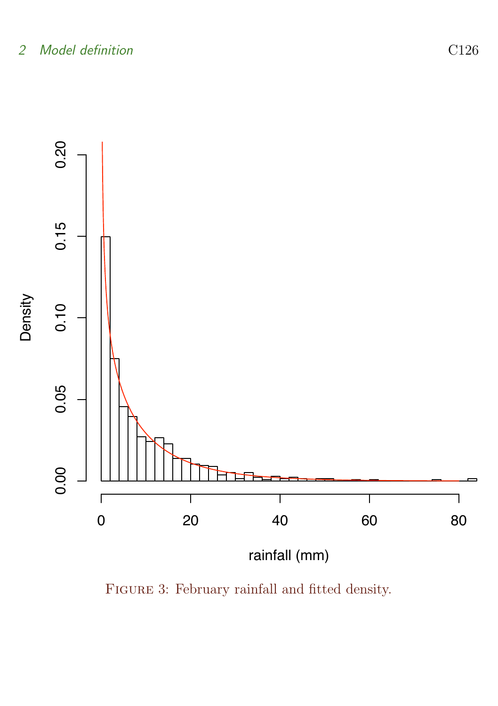

<span id="page-10-0"></span>Figure 3: February rainfall and fitted density.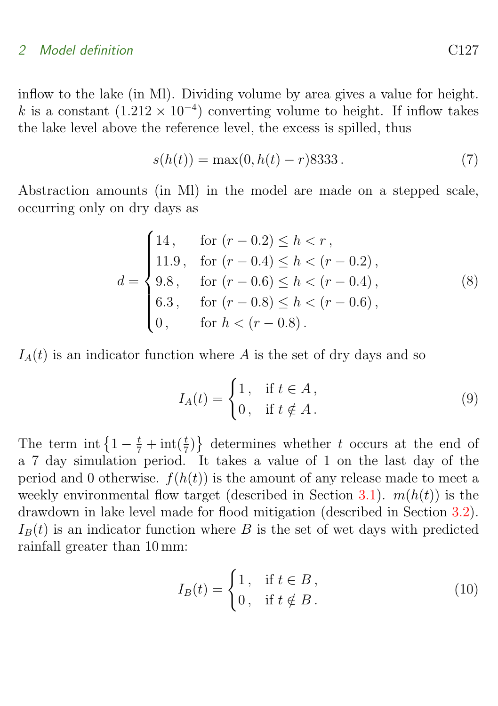inflow to the lake (in Ml). Dividing volume by area gives a value for height. k is a constant  $(1.212 \times 10^{-4})$  converting volume to height. If inflow takes the lake level above the reference level, the excess is spilled, thus

$$
s(h(t)) = \max(0, h(t) - r)8333.
$$
 (7)

Abstraction amounts (in Ml) in the model are made on a stepped scale, occurring only on dry days as

$$
d = \begin{cases} 14, & \text{for } (r - 0.2) \le h < r, \\ 11.9, & \text{for } (r - 0.4) \le h < (r - 0.2), \\ 9.8, & \text{for } (r - 0.6) \le h < (r - 0.4), \\ 6.3, & \text{for } (r - 0.8) \le h < (r - 0.6), \\ 0, & \text{for } h < (r - 0.8). \end{cases} \tag{8}
$$

 $I_A(t)$  is an indicator function where A is the set of dry days and so

$$
I_A(t) = \begin{cases} 1, & \text{if } t \in A, \\ 0, & \text{if } t \notin A. \end{cases}
$$
 (9)

The term int  $\left\{1-\frac{t}{7}+\text{int}(\frac{t}{7})\right\}$  determines whether t occurs at the end of a 7 day simulation period. It takes a value of 1 on the last day of the period and 0 otherwise.  $f(h(t))$  is the amount of any release made to meet a weekly environmental flow target (described in Section [3.1\)](#page-14-1).  $m(h(t))$  is the drawdown in lake level made for flood mitigation (described in Section [3.2\)](#page-17-0).  $I_B(t)$  is an indicator function where B is the set of wet days with predicted rainfall greater than 10 mm:

<span id="page-11-0"></span>
$$
I_B(t) = \begin{cases} 1, & \text{if } t \in B, \\ 0, & \text{if } t \notin B. \end{cases}
$$
 (10)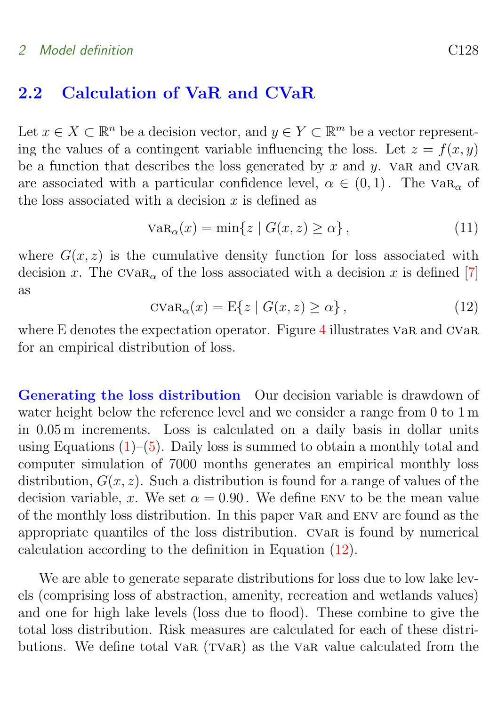### <span id="page-12-1"></span>2.2 Calculation of VaR and CVaR

Let  $x \in X \subset \mathbb{R}^n$  be a decision vector, and  $y \in Y \subset \mathbb{R}^m$  be a vector representing the values of a contingent variable influencing the loss. Let  $z = f(x, y)$ be a function that describes the loss generated by x and  $y$ . Var and CVar are associated with a particular confidence level,  $\alpha \in (0,1)$ . The  $VaR_{\alpha}$  of the loss associated with a decision  $x$  is defined as

$$
VaR_{\alpha}(x) = \min\{z \mid G(x, z) \ge \alpha\},\tag{11}
$$

<span id="page-12-0"></span>where  $G(x, z)$  is the cumulative density function for loss associated with decision x. The  $CVaR_{\alpha}$  of the loss associated with a decision x is defined [\[7\]](#page-20-7) as

$$
c \text{Var}_{\alpha}(x) = \mathbb{E}\{z \mid G(x, z) \ge \alpha\},\tag{12}
$$

where E denotes the expectation operator. Figure [4](#page-13-0) illustrates var and CVaR for an empirical distribution of loss.

Generating the loss distribution Our decision variable is drawdown of water height below the reference level and we consider a range from 0 to 1 m in 0.05 m increments. Loss is calculated on a daily basis in dollar units using Equations  $(1)$ – $(5)$ . Daily loss is summed to obtain a monthly total and computer simulation of 7000 months generates an empirical monthly loss distribution,  $G(x, z)$ . Such a distribution is found for a range of values of the decision variable, x. We set  $\alpha = 0.90$ . We define ENV to be the mean value of the monthly loss distribution. In this paper var and env are found as the appropriate quantiles of the loss distribution. cvar is found by numerical calculation according to the definition in Equation [\(12\)](#page-12-0).

We are able to generate separate distributions for loss due to low lake levels (comprising loss of abstraction, amenity, recreation and wetlands values) and one for high lake levels (loss due to flood). These combine to give the total loss distribution. Risk measures are calculated for each of these distributions. We define total var  $(TVaR)$  as the var value calculated from the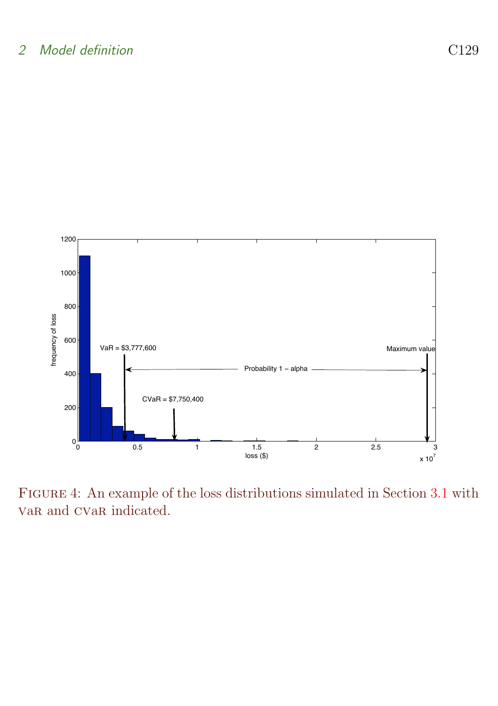

<span id="page-13-0"></span>Figure 4: An example of the loss distributions simulated in Section [3.1](#page-14-1) with var and CVar indicated.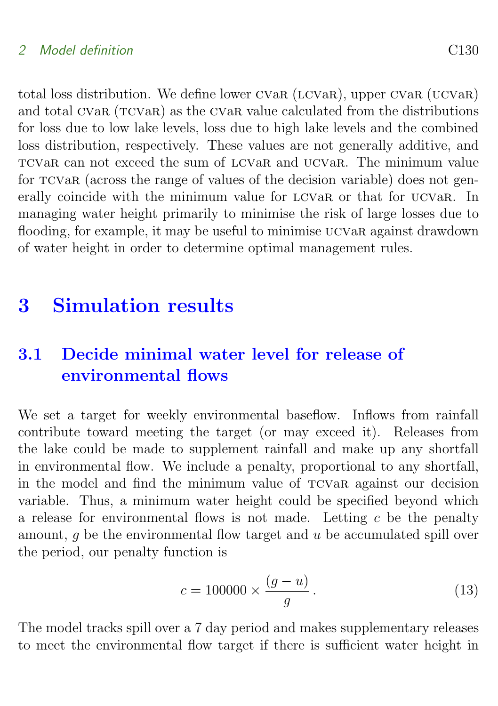total loss distribution. We define lower CVaR (LCVaR), upper CVaR (UCVaR) and total CVaR (TCVaR) as the CVaR value calculated from the distributions for loss due to low lake levels, loss due to high lake levels and the combined loss distribution, respectively. These values are not generally additive, and tcvar can not exceed the sum of lcvar and ucvar. The minimum value for tcvar (across the range of values of the decision variable) does not generally coincide with the minimum value for LCVaR or that for UCVaR. In managing water height primarily to minimise the risk of large losses due to flooding, for example, it may be useful to minimise UCVaR against drawdown of water height in order to determine optimal management rules.

## <span id="page-14-0"></span>3 Simulation results

## <span id="page-14-1"></span>3.1 Decide minimal water level for release of environmental flows

We set a target for weekly environmental baseflow. Inflows from rainfall contribute toward meeting the target (or may exceed it). Releases from the lake could be made to supplement rainfall and make up any shortfall in environmental flow. We include a penalty, proportional to any shortfall, in the model and find the minimum value of tcvar against our decision variable. Thus, a minimum water height could be specified beyond which a release for environmental flows is not made. Letting  $c$  be the penalty amount, q be the environmental flow target and  $u$  be accumulated spill over the period, our penalty function is

$$
c = 100000 \times \frac{(g - u)}{g}.
$$
\n(13)

The model tracks spill over a 7 day period and makes supplementary releases to meet the environmental flow target if there is sufficient water height in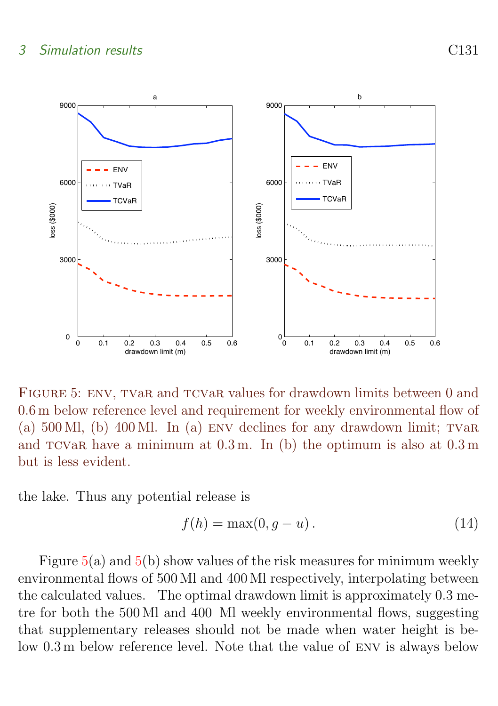### 3 Simulation results C131



<span id="page-15-0"></span>FIGURE 5: ENV, TVaR and TCVaR values for drawdown limits between 0 and 0.6 m below reference level and requirement for weekly environmental flow of (a)  $500$  Ml, (b)  $400$  Ml. In (a) ENV declines for any drawdown limit; TVaR and  $TCVaR$  have a minimum at  $0.3$  m. In (b) the optimum is also at  $0.3$  m but is less evident.

the lake. Thus any potential release is

$$
f(h) = \max(0, g - u). \tag{14}
$$

Figure  $5(a)$  $5(a)$  and  $5(b)$  show values of the risk measures for minimum weekly environmental flows of 500 Ml and 400 Ml respectively, interpolating between the calculated values. The optimal drawdown limit is approximately 0.3 metre for both the 500 Ml and 400 Ml weekly environmental flows, suggesting that supplementary releases should not be made when water height is below 0.3 m below reference level. Note that the value of env is always below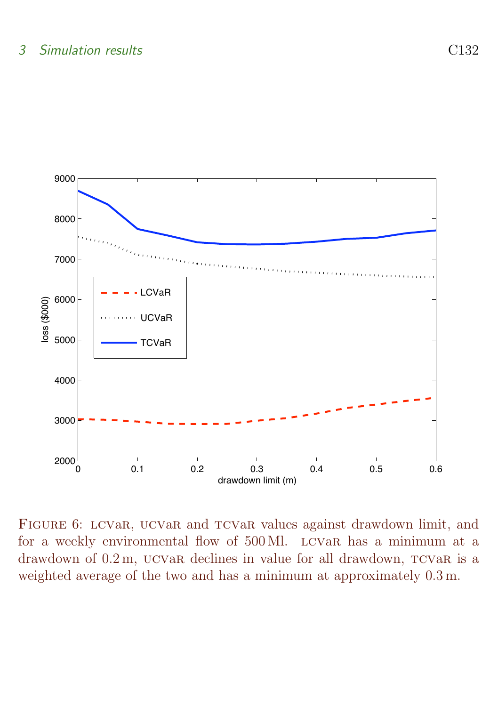

<span id="page-16-0"></span>FIGURE 6: LCVaR, UCVaR and TCVaR values against drawdown limit, and for a weekly environmental flow of 500 Ml. lcvar has a minimum at a drawdown of  $0.2$ m, ucvar declines in value for all drawdown,  $TCVaR$  is a weighted average of the two and has a minimum at approximately 0.3 m.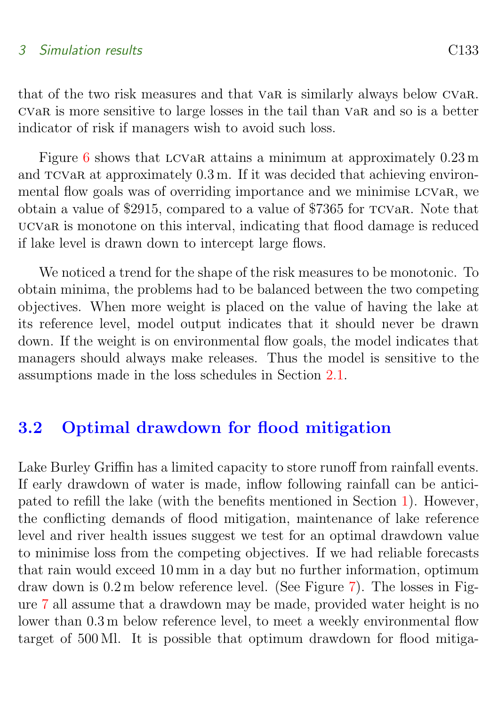### 3 Simulation results C133

that of the two risk measures and that var is similarly always below cvar. cvar is more sensitive to large losses in the tail than var and so is a better indicator of risk if managers wish to avoid such loss.

Figure [6](#page-16-0) shows that LCVaR attains a minimum at approximately  $0.23 \text{ m}$ and  $TCVaR$  at approximately  $0.3$  m. If it was decided that achieving environmental flow goals was of overriding importance and we minimise lcvar, we obtain a value of \$2915, compared to a value of \$7365 for tcvar. Note that ucvar is monotone on this interval, indicating that flood damage is reduced if lake level is drawn down to intercept large flows.

We noticed a trend for the shape of the risk measures to be monotonic. To obtain minima, the problems had to be balanced between the two competing objectives. When more weight is placed on the value of having the lake at its reference level, model output indicates that it should never be drawn down. If the weight is on environmental flow goals, the model indicates that managers should always make releases. Thus the model is sensitive to the assumptions made in the loss schedules in Section [2.1.](#page-4-1)

### <span id="page-17-0"></span>3.2 Optimal drawdown for flood mitigation

Lake Burley Griffin has a limited capacity to store runoff from rainfall events. If early drawdown of water is made, inflow following rainfall can be anticipated to refill the lake (with the benefits mentioned in Section [1\)](#page-1-0). However, the conflicting demands of flood mitigation, maintenance of lake reference level and river health issues suggest we test for an optimal drawdown value to minimise loss from the competing objectives. If we had reliable forecasts that rain would exceed 10 mm in a day but no further information, optimum draw down is 0.2 m below reference level. (See Figure [7\)](#page-18-0). The losses in Figure [7](#page-18-0) all assume that a drawdown may be made, provided water height is no lower than 0.3 m below reference level, to meet a weekly environmental flow target of 500 Ml. It is possible that optimum drawdown for flood mitiga-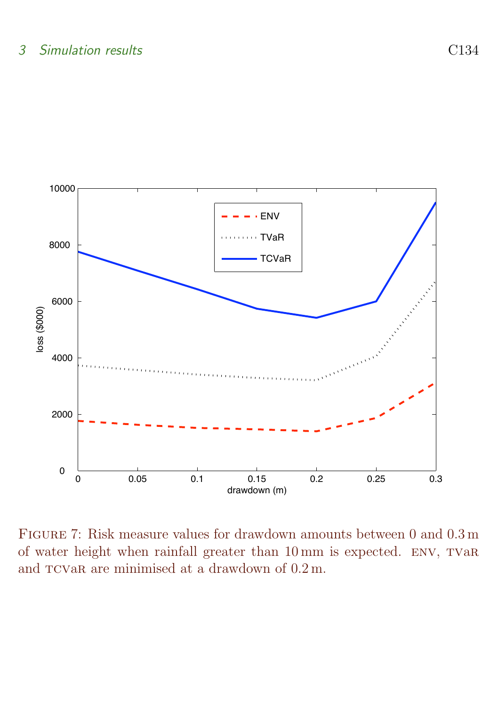

<span id="page-18-0"></span>Figure 7: Risk measure values for drawdown amounts between 0 and 0.3 m of water height when rainfall greater than 10 mm is expected. ENV, TVaR and  $TCVaR$  are minimised at a drawdown of  $0.2$  m.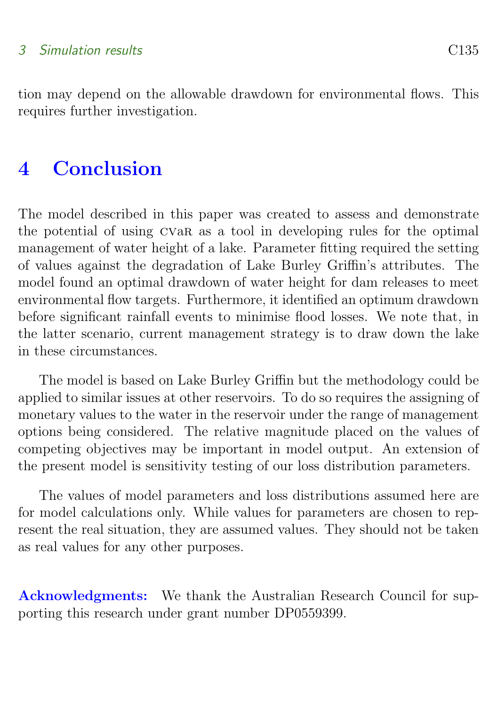### 3 Simulation results C135

tion may depend on the allowable drawdown for environmental flows. This requires further investigation.

## <span id="page-19-0"></span>4 Conclusion

The model described in this paper was created to assess and demonstrate the potential of using cvar as a tool in developing rules for the optimal management of water height of a lake. Parameter fitting required the setting of values against the degradation of Lake Burley Griffin's attributes. The model found an optimal drawdown of water height for dam releases to meet environmental flow targets. Furthermore, it identified an optimum drawdown before significant rainfall events to minimise flood losses. We note that, in the latter scenario, current management strategy is to draw down the lake in these circumstances.

The model is based on Lake Burley Griffin but the methodology could be applied to similar issues at other reservoirs. To do so requires the assigning of monetary values to the water in the reservoir under the range of management options being considered. The relative magnitude placed on the values of competing objectives may be important in model output. An extension of the present model is sensitivity testing of our loss distribution parameters.

The values of model parameters and loss distributions assumed here are for model calculations only. While values for parameters are chosen to represent the real situation, they are assumed values. They should not be taken as real values for any other purposes.

Acknowledgments: We thank the Australian Research Council for supporting this research under grant number DP0559399.